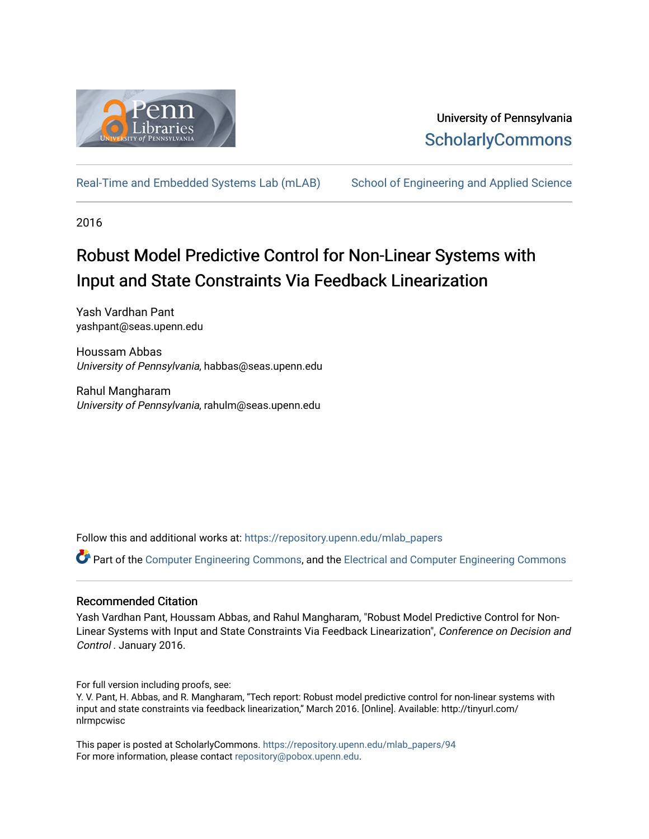

## University of Pennsylvania **ScholarlyCommons**

[Real-Time and Embedded Systems Lab \(mLAB\)](https://repository.upenn.edu/mlab_papers) [School of Engineering and Applied Science](https://repository.upenn.edu/seas) 

2016

# Robust Model Predictive Control for Non-Linear Systems with Input and State Constraints Via Feedback Linearization

Yash Vardhan Pant yashpant@seas.upenn.edu

Houssam Abbas University of Pennsylvania, habbas@seas.upenn.edu

Rahul Mangharam University of Pennsylvania, rahulm@seas.upenn.edu

Follow this and additional works at: [https://repository.upenn.edu/mlab\\_papers](https://repository.upenn.edu/mlab_papers?utm_source=repository.upenn.edu%2Fmlab_papers%2F94&utm_medium=PDF&utm_campaign=PDFCoverPages) 

Part of the [Computer Engineering Commons,](http://network.bepress.com/hgg/discipline/258?utm_source=repository.upenn.edu%2Fmlab_papers%2F94&utm_medium=PDF&utm_campaign=PDFCoverPages) and the [Electrical and Computer Engineering Commons](http://network.bepress.com/hgg/discipline/266?utm_source=repository.upenn.edu%2Fmlab_papers%2F94&utm_medium=PDF&utm_campaign=PDFCoverPages)

### Recommended Citation

Yash Vardhan Pant, Houssam Abbas, and Rahul Mangharam, "Robust Model Predictive Control for Non-Linear Systems with Input and State Constraints Via Feedback Linearization", Conference on Decision and Control . January 2016.

For full version including proofs, see:

Y. V. Pant, H. Abbas, and R. Mangharam, "Tech report: Robust model predictive control for non-linear systems with input and state constraints via feedback linearization," March 2016. [Online]. Available: http://tinyurl.com/ nlrmpcwisc

This paper is posted at ScholarlyCommons. [https://repository.upenn.edu/mlab\\_papers/94](https://repository.upenn.edu/mlab_papers/94) For more information, please contact [repository@pobox.upenn.edu.](mailto:repository@pobox.upenn.edu)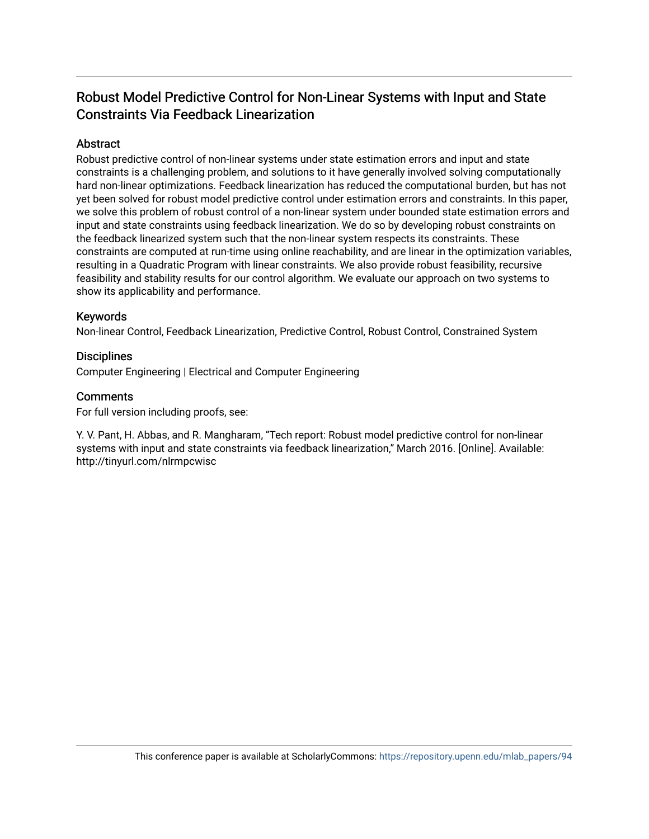## Robust Model Predictive Control for Non-Linear Systems with Input and State Constraints Via Feedback Linearization

## **Abstract**

Robust predictive control of non-linear systems under state estimation errors and input and state constraints is a challenging problem, and solutions to it have generally involved solving computationally hard non-linear optimizations. Feedback linearization has reduced the computational burden, but has not yet been solved for robust model predictive control under estimation errors and constraints. In this paper, we solve this problem of robust control of a non-linear system under bounded state estimation errors and input and state constraints using feedback linearization. We do so by developing robust constraints on the feedback linearized system such that the non-linear system respects its constraints. These constraints are computed at run-time using online reachability, and are linear in the optimization variables, resulting in a Quadratic Program with linear constraints. We also provide robust feasibility, recursive feasibility and stability results for our control algorithm. We evaluate our approach on two systems to show its applicability and performance.

### Keywords

Non-linear Control, Feedback Linearization, Predictive Control, Robust Control, Constrained System

## **Disciplines**

Computer Engineering | Electrical and Computer Engineering

### **Comments**

For full version including proofs, see:

Y. V. Pant, H. Abbas, and R. Mangharam, "Tech report: Robust model predictive control for non-linear systems with input and state constraints via feedback linearization," March 2016. [Online]. Available: http://tinyurl.com/nlrmpcwisc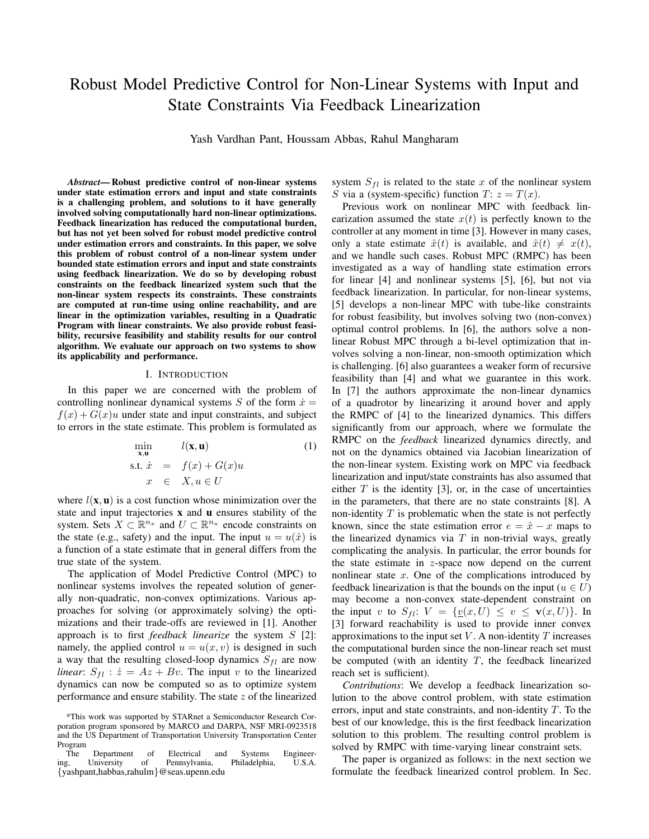## Robust Model Predictive Control for Non-Linear Systems with Input and State Constraints Via Feedback Linearization

Yash Vardhan Pant, Houssam Abbas, Rahul Mangharam

*Abstract*— Robust predictive control of non-linear systems under state estimation errors and input and state constraints is a challenging problem, and solutions to it have generally involved solving computationally hard non-linear optimizations. Feedback linearization has reduced the computational burden, but has not yet been solved for robust model predictive control under estimation errors and constraints. In this paper, we solve this problem of robust control of a non-linear system under bounded state estimation errors and input and state constraints using feedback linearization. We do so by developing robust constraints on the feedback linearized system such that the non-linear system respects its constraints. These constraints are computed at run-time using online reachability, and are linear in the optimization variables, resulting in a Quadratic Program with linear constraints. We also provide robust feasibility, recursive feasibility and stability results for our control algorithm. We evaluate our approach on two systems to show its applicability and performance.

#### I. INTRODUCTION

In this paper we are concerned with the problem of controlling nonlinear dynamical systems  $S$  of the form  $\dot{x} =$  $f(x) + G(x)u$  under state and input constraints, and subject to errors in the state estimate. This problem is formulated as

$$
\min_{\mathbf{x}, \mathbf{u}} l(\mathbf{x}, \mathbf{u})
$$
\ns.t.  $\dot{x} = f(x) + G(x)u$   
\n $x \in X, u \in U$ \n(1)

where  $l(\mathbf{x}, \mathbf{u})$  is a cost function whose minimization over the state and input trajectories x and u ensures stability of the system. Sets  $X \subset \mathbb{R}^{n_x}$  and  $U \subset \mathbb{R}^{n_u}$  encode constraints on the state (e.g., safety) and the input. The input  $u = u(\hat{x})$  is a function of a state estimate that in general differs from the true state of the system.

The application of Model Predictive Control (MPC) to nonlinear systems involves the repeated solution of generally non-quadratic, non-convex optimizations. Various approaches for solving (or approximately solving) the optimizations and their trade-offs are reviewed in [1]. Another approach is to first *feedback linearize* the system S [2]: namely, the applied control  $u = u(x, v)$  is designed in such a way that the resulting closed-loop dynamics  $S_{fl}$  are now *linear*:  $S_{fl}$  :  $\dot{z} = Az + Bv$ . The input v to the linearized dynamics can now be computed so as to optimize system performance and ensure stability. The state z of the linearized system  $S_{fl}$  is related to the state x of the nonlinear system S via a (system-specific) function  $T: z = T(x)$ .

Previous work on nonlinear MPC with feedback linearization assumed the state  $x(t)$  is perfectly known to the controller at any moment in time [3]. However in many cases, only a state estimate  $\hat{x}(t)$  is available, and  $\hat{x}(t) \neq x(t)$ , and we handle such cases. Robust MPC (RMPC) has been investigated as a way of handling state estimation errors for linear [4] and nonlinear systems [5], [6], but not via feedback linearization. In particular, for non-linear systems, [5] develops a non-linear MPC with tube-like constraints for robust feasibility, but involves solving two (non-convex) optimal control problems. In [6], the authors solve a nonlinear Robust MPC through a bi-level optimization that involves solving a non-linear, non-smooth optimization which is challenging. [6] also guarantees a weaker form of recursive feasibility than [4] and what we guarantee in this work. In [7] the authors approximate the non-linear dynamics of a quadrotor by linearizing it around hover and apply the RMPC of [4] to the linearized dynamics. This differs significantly from our approach, where we formulate the RMPC on the *feedback* linearized dynamics directly, and not on the dynamics obtained via Jacobian linearization of the non-linear system. Existing work on MPC via feedback linearization and input/state constraints has also assumed that either  $T$  is the identity [3], or, in the case of uncertainties in the parameters, that there are no state constraints [8]. A non-identity  $T$  is problematic when the state is not perfectly known, since the state estimation error  $e = \hat{x} - x$  maps to the linearized dynamics via  $T$  in non-trivial ways, greatly complicating the analysis. In particular, the error bounds for the state estimate in z-space now depend on the current nonlinear state  $x$ . One of the complications introduced by feedback linearization is that the bounds on the input ( $u \in U$ ) may become a non-convex state-dependent constraint on the input v to  $S_{fl}: V = \{ \underline{v}(x, U) \le v \le \mathbf{v}(x, U) \}.$  In [3] forward reachability is used to provide inner convex approximations to the input set  $V$ . A non-identity  $T$  increases the computational burden since the non-linear reach set must be computed (with an identity  $T$ , the feedback linearized reach set is sufficient).

*Contributions*: We develop a feedback linearization solution to the above control problem, with state estimation errors, input and state constraints, and non-identity  $T$ . To the best of our knowledge, this is the first feedback linearization solution to this problem. The resulting control problem is solved by RMPC with time-varying linear constraint sets.

The paper is organized as follows: in the next section we formulate the feedback linearized control problem. In Sec.

<sup>\*</sup>This work was supported by STARnet a Semiconductor Research Corporation program sponsored by MARCO and DARPA, NSF MRI-0923518 and the US Department of Transportation University Transportation Center Program

The Department of Electrical and Systems Engineer-<br>g, University of Pennsylvania, Philadelphia, U.S.A. ing, University of Pennsylvania, Philadelphia, {yashpant,habbas,rahulm}@seas.upenn.edu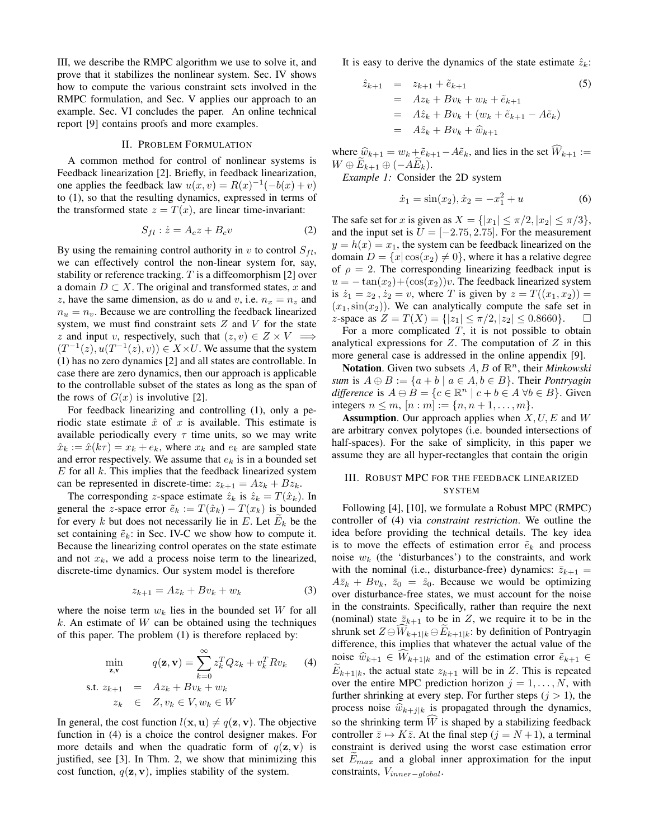III, we describe the RMPC algorithm we use to solve it, and prove that it stabilizes the nonlinear system. Sec. IV shows how to compute the various constraint sets involved in the RMPC formulation, and Sec. V applies our approach to an example. Sec. VI concludes the paper. An online technical report [9] contains proofs and more examples.

#### II. PROBLEM FORMULATION

A common method for control of nonlinear systems is Feedback linearization [2]. Briefly, in feedback linearization, one applies the feedback law  $u(x, v) = R(x)^{-1}(-b(x) + v)$ to (1), so that the resulting dynamics, expressed in terms of the transformed state  $z = T(x)$ , are linear time-invariant:

$$
S_{fl} : \dot{z} = A_c z + B_c v \tag{2}
$$

By using the remaining control authority in v to control  $S_{fl}$ , we can effectively control the non-linear system for, say, stability or reference tracking.  $T$  is a diffeomorphism [2] over a domain  $D \subset X$ . The original and transformed states, x and z, have the same dimension, as do u and v, i.e.  $n_x = n_z$  and  $n_u = n_v$ . Because we are controlling the feedback linearized system, we must find constraint sets  $Z$  and  $V$  for the state z and input v, respectively, such that  $(z, v) \in Z \times V \implies$  $(T^{-1}(z), u(T^{-1}(z), v)) \in X \times U$ . We assume that the system (1) has no zero dynamics [2] and all states are controllable. In case there are zero dynamics, then our approach is applicable to the controllable subset of the states as long as the span of the rows of  $G(x)$  is involutive [2].

For feedback linearizing and controlling (1), only a periodic state estimate  $\hat{x}$  of x is available. This estimate is available periodically every  $\tau$  time units, so we may write  $\hat{x}_k := \hat{x}(k\tau) = x_k + e_k$ , where  $x_k$  and  $e_k$  are sampled state and error respectively. We assume that  $e_k$  is in a bounded set  $E$  for all  $k$ . This implies that the feedback linearized system can be represented in discrete-time:  $z_{k+1} = Az_k + Bz_k$ .

The corresponding z-space estimate  $\hat{z}_k$  is  $\hat{z}_k = T(\hat{x}_k)$ . In general the z-space error  $\tilde{e}_k := T(\hat{x}_k) - T(x_k)$  is bounded for every k but does not necessarily lie in E. Let  $E_k$  be the set containing  $\tilde{e}_k$ : in Sec. IV-C we show how to compute it. Because the linearizing control operates on the state estimate and not  $x_k$ , we add a process noise term to the linearized, discrete-time dynamics. Our system model is therefore

$$
z_{k+1} = Az_k + Bv_k + w_k \tag{3}
$$

where the noise term  $w_k$  lies in the bounded set W for all  $k$ . An estimate of  $W$  can be obtained using the techniques of this paper. The problem (1) is therefore replaced by:

$$
\min_{\mathbf{z}, \mathbf{v}} \qquad q(\mathbf{z}, \mathbf{v}) = \sum_{k=0}^{\infty} z_k^T Q z_k + v_k^T R v_k \qquad (4)
$$
\n
$$
\text{s.t. } z_{k+1} = Az_k + B v_k + w_k
$$
\n
$$
z_k \in Z, v_k \in V, w_k \in W
$$

In general, the cost function  $l(\mathbf{x}, \mathbf{u}) \neq q(\mathbf{z}, \mathbf{v})$ . The objective function in (4) is a choice the control designer makes. For more details and when the quadratic form of  $q(\mathbf{z}, \mathbf{v})$  is justified, see [3]. In Thm. 2, we show that minimizing this cost function,  $q(\mathbf{z}, \mathbf{v})$ , implies stability of the system.

It is easy to derive the dynamics of the state estimate  $\hat{z}_k$ :

$$
\hat{z}_{k+1} = z_{k+1} + \tilde{e}_{k+1}
$$
\n
$$
= Az_k + Bv_k + w_k + \tilde{e}_{k+1}
$$
\n
$$
= A\hat{z}_k + Bv_k + (w_k + \tilde{e}_{k+1} - A\tilde{e}_k)
$$
\n
$$
= A\hat{z}_k + Bv_k + \hat{w}_{k+1}
$$
\n(5)

where  $\hat{w}_{k+1} = w_k + \tilde{e}_{k+1} - A\tilde{e}_k$ , and lies in the set  $\widehat{W}_{k+1} :=$  $W \oplus E_{k+1} \oplus (-AE_k).$ 

*Example 1:* Consider the 2D system

$$
\dot{x}_1 = \sin(x_2), \dot{x}_2 = -x_1^2 + u \tag{6}
$$

The safe set for x is given as  $X = \{|x_1| \leq \pi/2, |x_2| \leq \pi/3\},\$ and the input set is  $U = [-2.75, 2.75]$ . For the measurement  $y = h(x) = x_1$ , the system can be feedback linearized on the domain  $D = \{x | \cos(x_2) \neq 0\}$ , where it has a relative degree of  $\rho = 2$ . The corresponding linearizing feedback input is  $u = -\tan(x_2) + (\cos(x_2))v$ . The feedback linearized system is  $\dot{z}_1 = z_2, \dot{z}_2 = v$ , where T is given by  $z = T((x_1, x_2)) =$  $(x_1, \sin(x_2))$ . We can analytically compute the safe set in z-space as  $Z = T(X) = \{ |z_1| \leq \pi/2, |z_2| \leq 0.8660 \}.$ 

For a more complicated  $T$ , it is not possible to obtain analytical expressions for  $Z$ . The computation of  $Z$  in this more general case is addressed in the online appendix [9].

Notation. Given two subsets  $A, B$  of  $\mathbb{R}^n$ , their *Minkowski sum* is  $A \oplus B := \{a + b \mid a \in A, b \in B\}$ . Their *Pontryagin difference* is  $A \ominus \tilde{B} = \{c \in \mathbb{R}^n \mid c+b \in A \,\forall b \in B\}$ . Given integers  $n \le m$ ,  $[n : m] := \{n, n+1, ..., m\}.$ 

**Assumption.** Our approach applies when  $X, U, E$  and W are arbitrary convex polytopes (i.e. bounded intersections of half-spaces). For the sake of simplicity, in this paper we assume they are all hyper-rectangles that contain the origin

#### III. ROBUST MPC FOR THE FEEDBACK LINEARIZED SYSTEM

Following [4], [10], we formulate a Robust MPC (RMPC) controller of (4) via *constraint restriction*. We outline the idea before providing the technical details. The key idea is to move the effects of estimation error  $\tilde{e}_k$  and process noise  $w_k$  (the 'disturbances') to the constraints, and work with the nominal (i.e., disturbance-free) dynamics:  $\bar{z}_{k+1} =$  $A\bar{z}_k + Bv_k$ ,  $\bar{z}_0 = \hat{z}_0$ . Because we would be optimizing over disturbance-free states, we must account for the noise in the constraints. Specifically, rather than require the next (nominal) state  $\bar{z}_{k+1}$  to be in Z, we require it to be in the shrunk set  $Z \ominus W_{k+1|k} \ominus E_{k+1|k}$ : by definition of Pontryagin difference, this implies that whatever the actual value of the noise  $\hat{w}_{k+1} \in W_{k+1|k}$  and of the estimation error  $\tilde{e}_{k+1} \in$  $E_{k+1|k}$ , the actual state  $z_{k+1}$  will be in Z. This is repeated over the entire MPC prediction horizon  $j = 1, \ldots, N$ , with further shrinking at every step. For further steps  $(j > 1)$ , the process noise  $\hat{w}_{k+j|k}$  is propagated through the dynamics, so the shrinking term  $\widehat{W}$  is shaped by a stabilizing feedback controller  $\bar{z} \mapsto K\bar{z}$ . At the final step ( $j = N + 1$ ), a terminal constraint is derived using the worst case estimation error set  $E_{max}$  and a global inner approximation for the input constraints, Vinner−global.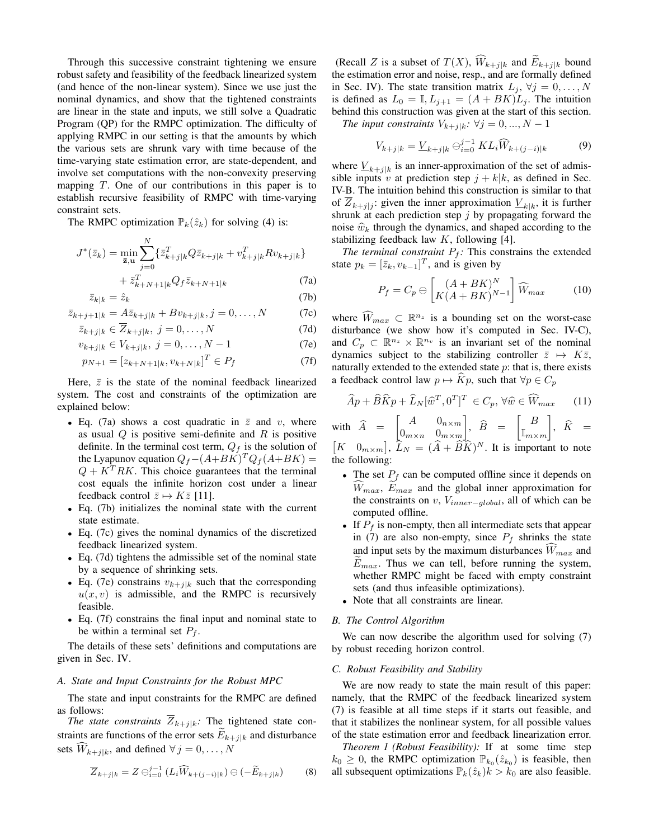Through this successive constraint tightening we ensure robust safety and feasibility of the feedback linearized system (and hence of the non-linear system). Since we use just the nominal dynamics, and show that the tightened constraints are linear in the state and inputs, we still solve a Quadratic Program (QP) for the RMPC optimization. The difficulty of applying RMPC in our setting is that the amounts by which the various sets are shrunk vary with time because of the time-varying state estimation error, are state-dependent, and involve set computations with the non-convexity preserving mapping  $T$ . One of our contributions in this paper is to establish recursive feasibility of RMPC with time-varying constraint sets.

The RMPC optimization  $\mathbb{P}_k(\hat{z}_k)$  for solving (4) is:

$$
J^*(\bar{z}_k) = \min_{\bar{\mathbf{z}}, \mathbf{u}} \sum_{j=0}^N \{ \bar{z}_{k+j|k}^T Q \bar{z}_{k+j|k} + v_{k+j|k}^T R v_{k+j|k} \}
$$

$$
+ \bar{z}_{k+N+1|k}^T Q_f \bar{z}_{k+N+1|k}
$$
(7a

$$
+\bar{z}_{k+N+1|k}^T Q_f \bar{z}_{k+N+1|k} \tag{7a}
$$

$$
\bar{z}_{k|k} = \hat{z}_k \tag{7b}
$$

$$
\bar{z}_{k+j+1|k} = A\bar{z}_{k+j|k} + Bv_{k+j|k}, j = 0, ..., N
$$
 (7c)

$$
\bar{z}_{k+j|k} \in \overline{Z}_{k+j|k}, \ j = 0, \dots, N \tag{7d}
$$

$$
v_{k+j|k} \in V_{k+j|k}, \ j = 0, \dots, N-1 \tag{7e}
$$

$$
p_{N+1} = [z_{k+N+1|k}, v_{k+N|k}]^T \in P_f \tag{7f}
$$

Here,  $\bar{z}$  is the state of the nominal feedback linearized system. The cost and constraints of the optimization are explained below:

- Eq. (7a) shows a cost quadratic in  $\overline{z}$  and v, where as usual  $Q$  is positive semi-definite and  $R$  is positive definite. In the terminal cost term,  $Q_f$  is the solution of the Lyapunov equation  $Q_f - (A+BK)^T Q_f (A+BK) =$  $Q + K^{T}RK$ . This choice guarantees that the terminal cost equals the infinite horizon cost under a linear feedback control  $\bar{z} \mapsto K\bar{z}$  [11].
- Eq. (7b) initializes the nominal state with the current state estimate.
- Eq. (7c) gives the nominal dynamics of the discretized feedback linearized system.
- Eq. (7d) tightens the admissible set of the nominal state by a sequence of shrinking sets.
- Eq. (7e) constrains  $v_{k+j|k}$  such that the corresponding  $u(x, v)$  is admissible, and the RMPC is recursively feasible.
- Eq. (7f) constrains the final input and nominal state to be within a terminal set  $P_f$ .

The details of these sets' definitions and computations are given in Sec. IV.

#### *A. State and Input Constraints for the Robust MPC*

The state and input constraints for the RMPC are defined as follows:

*The state constraints*  $\overline{Z}_{k+j|k}$ *:* The tightened state constraints are functions of the error sets  $E_{k+j|k}$  and disturbance sets  $\widehat{W}_{k+j|k}$ , and defined  $\forall j = 0, \ldots, N$ 

$$
\overline{Z}_{k+j|k} = Z \ominus_{i=0}^{j-1} (L_i \widehat{W}_{k+(j-i)|k}) \ominus (-\widetilde{E}_{k+j|k}) \tag{8}
$$

(Recall Z is a subset of  $T(X)$ ,  $W_{k+j|k}$  and  $E_{k+j|k}$  bound the estimation error and noise, resp., and are formally defined in Sec. IV). The state transition matrix  $L_j$ ,  $\forall j = 0, \ldots, N$ is defined as  $L_0 = \mathbb{I}, L_{j+1} = (A + BK)L_j$ . The intuition behind this construction was given at the start of this section.

*The input constraints*  $V_{k+j|k}$ *:*  $\forall j = 0, ..., N - 1$ 

$$
V_{k+j|k} = \underline{V}_{k+j|k} \ominus_{i=0}^{j-1} KL_i \widehat{W}_{k+(j-i)|k}
$$
 (9)

where  $\underline{V}_{k+j|k}$  is an inner-approximation of the set of admissible inputs v at prediction step  $j + k|k$ , as defined in Sec. IV-B. The intuition behind this construction is similar to that of  $Z_{k+j|j}$ : given the inner approximation  $\underline{V}_{k|k}$ , it is further shrunk at each prediction step  $j$  by propagating forward the noise  $\hat{w}_k$  through the dynamics, and shaped according to the stabilizing feedback law  $K$ , following [4].

*The terminal constraint*  $P_f$ : This constrains the extended state  $p_k = [\bar{z}_k, v_{k-1}]^T$ , and is given by

$$
P_f = C_p \ominus \left[ \frac{(A + BK)^N}{K(A + BK)^{N-1}} \right] \widehat{W}_{max} \tag{10}
$$

where  $\widehat{W}_{max} \subset \mathbb{R}^{n_z}$  is a bounding set on the worst-case disturbance (we show how it's computed in Sec. IV-C), and  $C_p \subset \mathbb{R}^{n_z} \times \mathbb{R}^{n_v}$  is an invariant set of the nominal dynamics subject to the stabilizing controller  $\bar{z} \mapsto K\bar{z}$ , naturally extended to the extended state  $p$ : that is, there exists a feedback control law  $p \mapsto Kp$ , such that  $\forall p \in C_p$ 

$$
\widehat{A}p + \widehat{B}\widehat{K}p + \widehat{L}_N[\widehat{w}^T, 0^T]^T \in C_p, \forall \widehat{w} \in \widehat{W}_{max} \qquad (11)
$$

with  $\widehat{A} = \begin{bmatrix} A & 0_{n \times m} \\ 0_{m \times n} & 0_{m \times m} \end{bmatrix}$  $0_{m \times n}$   $0_{m \times m}$  $\Big\},\ \ \widehat{B}\ \ =\ \ \Big\lceil\frac{B}{\mathbb{I}_{m\times}}\Big\rceil$  $\mathbb{I}_{m \times m}$  $\Bigg], \ \widehat{K} =$  $[K \ 0_{m \times m}]$ ,  $\widehat{L}_N = (\widehat{A} + \widehat{B}\widehat{K})^N$ . It is important to note the following:

- The set  $P_f$  can be computed offline since it depends on  $W_{max}$ ,  $E_{max}$  and the global inner approximation for the constraints on v,  $V_{inner–global}$ , all of which can be computed offline.
- If  $P_f$  is non-empty, then all intermediate sets that appear in (7) are also non-empty, since  $P_f$  shrinks the state and input sets by the maximum disturbances  $W_{max}$  and  $E_{max}$ . Thus we can tell, before running the system, whether RMPC might be faced with empty constraint sets (and thus infeasible optimizations).
- Note that all constraints are linear.

#### *B. The Control Algorithm*

We can now describe the algorithm used for solving (7) by robust receding horizon control.

#### *C. Robust Feasibility and Stability*

We are now ready to state the main result of this paper: namely, that the RMPC of the feedback linearized system (7) is feasible at all time steps if it starts out feasible, and that it stabilizes the nonlinear system, for all possible values of the state estimation error and feedback linearization error.

*Theorem 1 (Robust Feasibility):* If at some time step  $k_0 \geq 0$ , the RMPC optimization  $\mathbb{P}_{k_0}(\hat{z}_{k_0})$  is feasible, then all subsequent optimizations  $\mathbb{P}_k(\hat{z}_k)k > k_0$  are also feasible.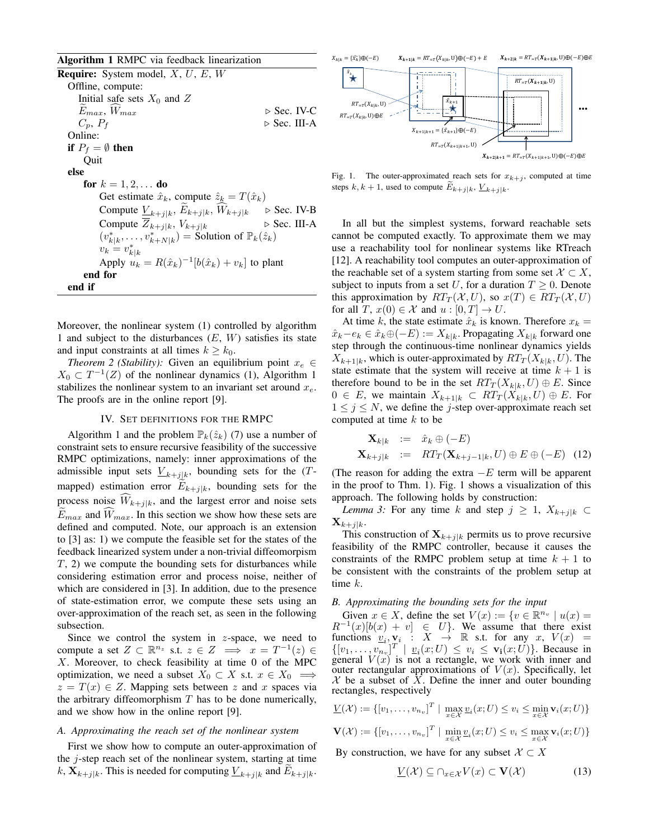Algorithm 1 RMPC via feedback linearization

**Require:** System model,  $X$ ,  $U$ ,  $E$ ,  $W$ Offline, compute: Initial safe sets  $X_0$  and  $Z$  $E_{max}$ ,  $W_{max}$   $\triangleright$  Sec. IV-C<br>  $C_p$ ,  $P_f$   $\triangleright$  Sec. III-A  $\triangleright$  Sec. III-A Online: if  $P_f = \emptyset$  then Quit else for  $k = 1, 2, ...$  do Get estimate  $\hat{x}_k$ , compute  $\hat{z}_k = T(\hat{x}_k)$ Compute  $\underline{V}_{k+j|k}$ ,  $E_{k+j|k}$ ,  $W_{k+j|k}$   $\triangleright$  Sec. IV-B Compute  $\overline{Z}_{k+j|k}$ ,  $V_{k+j|k}$  . Sec. III-A  $(v_{k|k}^*, \ldots, v_{k+N|k}^*)$  = Solution of  $\mathbb{P}_k(\hat{z}_k)$  $v_k = v_{k|k}^*$ Apply  $u_k = R(\hat{x}_k)^{-1}[b(\hat{x}_k) + v_k]$  to plant end for end if

Moreover, the nonlinear system (1) controlled by algorithm 1 and subject to the disturbances  $(E, W)$  satisfies its state and input constraints at all times  $k \geq k_0$ .

*Theorem 2 (Stability):* Given an equilibrium point  $x_e \in$  $X_0 \subset T^{-1}(Z)$  of the nonlinear dynamics (1), Algorithm 1 stabilizes the nonlinear system to an invariant set around  $x_e$ . The proofs are in the online report [9].

#### IV. SET DEFINITIONS FOR THE RMPC

Algorithm 1 and the problem  $\mathbb{P}_k(\hat{z}_k)$  (7) use a number of constraint sets to ensure recursive feasibility of the successive RMPC optimizations, namely: inner approximations of the admissible input sets  $\underline{V}_{k+j|k}$ , bounding sets for the  $(T$ mapped) estimation error  $E_{k+j|k}$ , bounding sets for the process noise  $W_{k+j|k}$ , and the largest error and noise sets  $\widetilde{E}_{max}$  and  $\widehat{W}_{max}$ . In this section we show how these sets are defined and computed. Note, our approach is an extension to [3] as: 1) we compute the feasible set for the states of the feedback linearized system under a non-trivial diffeomorpism T, 2) we compute the bounding sets for disturbances while considering estimation error and process noise, neither of which are considered in [3]. In addition, due to the presence of state-estimation error, we compute these sets using an over-approximation of the reach set, as seen in the following subsection.

Since we control the system in  $z$ -space, we need to compute a set  $Z \subset \mathbb{R}^{n_z}$  s.t.  $z \in Z \implies x = T^{-1}(z) \in$  $X$ . Moreover, to check feasibility at time 0 of the MPC optimization, we need a subset  $X_0 \subset X$  s.t.  $x \in X_0 \implies$  $z = T(x) \in Z$ . Mapping sets between z and x spaces via the arbitrary diffeomorphism  $T$  has to be done numerically, and we show how in the online report [9].

#### *A. Approximating the reach set of the nonlinear system*

First we show how to compute an outer-approximation of the j-step reach set of the nonlinear system, starting at time  $k$ ,  $\mathbf{X}_{k+j|k}$ . This is needed for computing  $\underline{V}_{k+j|k}$  and  $E_{k+j|k}$ .



Fig. 1. The outer-approximated reach sets for  $x_{k+j}$ , computed at time steps  $k, k+1$ , used to compute  $E_{k+j|k}, \underline{V}_{k+j|k}$ .

In all but the simplest systems, forward reachable sets cannot be computed exactly. To approximate them we may use a reachability tool for nonlinear systems like RTreach [12]. A reachability tool computes an outer-approximation of the reachable set of a system starting from some set  $X \subset X$ , subject to inputs from a set U, for a duration  $T \geq 0$ . Denote this approximation by  $RT_T(\mathcal{X}, U)$ , so  $x(T) \in RT_T(\mathcal{X}, U)$ for all T,  $x(0) \in \mathcal{X}$  and  $u : [0, T] \to U$ .

At time k, the state estimate  $\hat{x}_k$  is known. Therefore  $x_k =$  $\hat{x}_k - e_k \in \hat{x}_k \oplus (-E) := X_{k|k}$ . Propagating  $X_{k|k}$  forward one step through the continuous-time nonlinear dynamics yields  $X_{k+1|k}$ , which is outer-approximated by  $RT_T(X_{k|k}, U)$ . The state estimate that the system will receive at time  $k + 1$  is therefore bound to be in the set  $RT_T(X_{k|k}, U) \oplus E$ . Since  $0 \in E$ , we maintain  $X_{k+1|k} \subset RT_T(X_{k|k}, U) \oplus E$ . For  $1 \leq j \leq N$ , we define the j-step over-approximate reach set computed at time  $k$  to be

$$
\mathbf{X}_{k|k} := \hat{x}_k \oplus (-E)
$$
  

$$
\mathbf{X}_{k+j|k} := RT_T(\mathbf{X}_{k+j-1|k}, U) \oplus E \oplus (-E) \quad (12)
$$

(The reason for adding the extra  $-E$  term will be apparent in the proof to Thm. 1). Fig. 1 shows a visualization of this approach. The following holds by construction:

*Lemma 3:* For any time k and step  $j \geq 1$ ,  $X_{k+j|k} \subset$  $\mathbf{X}_{k+j|k}$ .

This construction of  $X_{k+j|k}$  permits us to prove recursive feasibility of the RMPC controller, because it causes the constraints of the RMPC problem setup at time  $k + 1$  to be consistent with the constraints of the problem setup at time k.

#### *B. Approximating the bounding sets for the input*

Given  $x \in X$ , define the set  $V(x) := \{v \in \mathbb{R}^{n_v} \mid u(x) =$  $R^{-1}(x)[b(x) + v] \in U$ . We assume that there exist functions  $v_i, v_i : X \rightarrow \mathbb{R}$  s.t. for any x,  $V(x) =$  $\{[v_1, \ldots, v_{n_v}]}^T \mid \underline{v}_i(x;U) \leq v_i \leq \mathbf{v_i}(x;U) \}$ . Because in general  $V(x)$  is not a rectangle, we work with inner and outer rectangular approximations of  $V(x)$ . Specifically, let  $X$  be a subset of  $\tilde{X}$ . Define the inner and outer bounding rectangles, respectively

$$
\underline{V}(\mathcal{X}) := \{ [v_1, \dots, v_{n_v}]^T \mid \max_{x \in \mathcal{X}} \underline{v}_i(x; U) \le v_i \le \min_{x \in \mathcal{X}} \mathbf{v}_i(x; U) \}
$$

$$
\mathbf{V}(\mathcal{X}) := \{ [v_1, \dots, v_{n_v}]^T \mid \min_{x \in \mathcal{X}} \underline{v}_i(x; U) \le v_i \le \max_{x \in \mathcal{X}} \mathbf{v}_i(x; U) \}
$$

By construction, we have for any subset  $\mathcal{X} \subset X$ 

$$
\underline{V}(\mathcal{X}) \subseteq \cap_{x \in \mathcal{X}} V(x) \subset \mathbf{V}(\mathcal{X}) \tag{13}
$$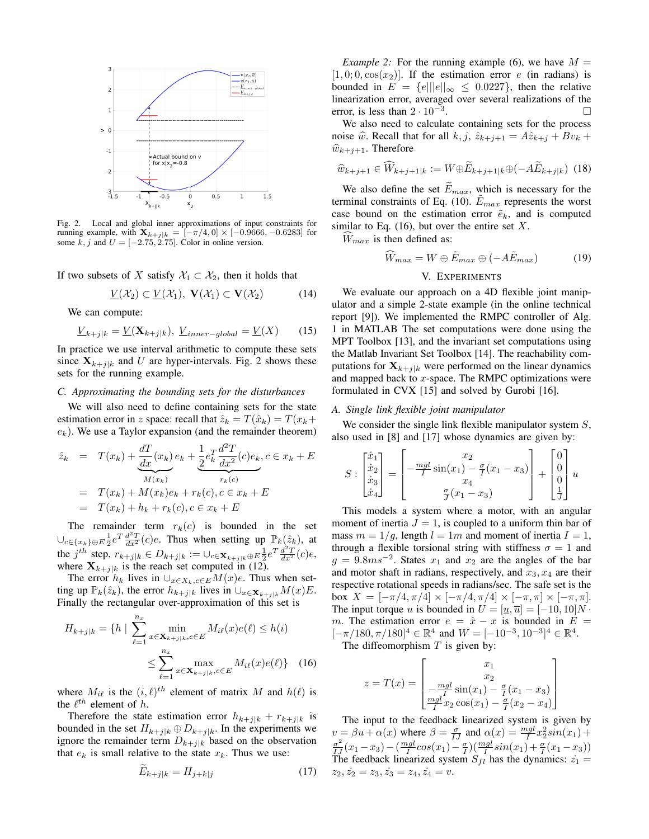

Fig. 2. Local and global inner approximations of input constraints for running example, with  $\mathbf{X}_{k+j|k} = [-\pi/4, 0] \times [-0.9666, -0.6283]$  for some k, j and  $U = [-2.75, 2.75]$ . Color in online version.

If two subsets of X satisfy  $\mathcal{X}_1 \subset \mathcal{X}_2$ , then it holds that

$$
\underline{V}(\mathcal{X}_2) \subset \underline{V}(\mathcal{X}_1), \ \mathbf{V}(\mathcal{X}_1) \subset \mathbf{V}(\mathcal{X}_2) \tag{14}
$$

We can compute:

$$
\underline{V}_{k+j|k} = \underline{V}(\mathbf{X}_{k+j|k}), \ \underline{V}_{inner-global} = \underline{V}(X) \tag{15}
$$

In practice we use interval arithmetic to compute these sets since  $X_{k+j|k}$  and U are hyper-intervals. Fig. 2 shows these sets for the running example.

#### *C. Approximating the bounding sets for the disturbances*

We will also need to define containing sets for the state estimation error in z space: recall that  $\hat{z}_k = T(\hat{x}_k) = T(x_k + \hat{z}_k)$  $e_k$ ). We use a Taylor expansion (and the remainder theorem)

$$
\hat{z}_k = T(x_k) + \underbrace{\frac{dT}{dx}(x_k)}_{M(x_k)} e_k + \underbrace{\frac{1}{2}e_k^T \frac{d^2T}{dx^2}(c)e_k}_{r_k(c)}, c \in x_k + E
$$
\n
$$
= T(x_k) + M(x_k)e_k + r_k(c), c \in x_k + E
$$
\n
$$
= T(x_k) + h_k + r_k(c), c \in x_k + E
$$

The remainder term  $r_k(c)$  is bounded in the set  $\bigcup_{c \in \{x_k\} \oplus E} \frac{1}{2} e^T \frac{d^2 T}{dx^2}(c) e$ . Thus when setting up  $\mathbb{P}_k(\hat{z}_k)$ , at the j<sup>th</sup> step,  $r_{k+j|k} \in D_{k+j|k} := \bigcup_{c \in \mathbf{X}_{k+j|k} \oplus E} \frac{1}{2} e^{T} \frac{d^{2} T}{dx^{2}}(c) e$ , where  $X_{k+j|k}$  is the reach set computed in (12).

The error  $h_k$  lives in  $\bigcup_{x \in X_k, e \in E} M(x)e$ . Thus when setting up  $\mathbb{P}_k(\hat{z}_k)$ , the error  $h_{k+j|k}$  lives in  $\bigcup_{x\in\mathbf{X}_{k+j|k}} M(x)E$ . Finally the rectangular over-approximation of this set is

$$
H_{k+j|k} = \{ h \mid \sum_{\ell=1}^{n_x} \min_{x \in \mathbf{X}_{k+j|k}, e \in E} M_{i\ell}(x) e(\ell) \le h(i)
$$

$$
\le \sum_{\ell=1}^{n_x} \max_{x \in \mathbf{X}_{k+j|k}, e \in E} M_{i\ell}(x) e(\ell) \} \quad (16)
$$

where  $M_{i\ell}$  is the  $(i, \ell)$ <sup>th</sup> element of matrix M and  $h(\ell)$  is the  $\ell^{th}$  element of h.

Therefore the state estimation error  $h_{k+j|k} + r_{k+j|k}$  is bounded in the set  $H_{k+j|k} \oplus D_{k+j|k}$ . In the experiments we ignore the remainder term  $D_{k+j|k}$  based on the observation that  $e_k$  is small relative to the state  $x_k$ . Thus we use:

$$
E_{k+j|k} = H_{j+k|j} \tag{17}
$$

*Example 2:* For the running example (6), we have  $M =$  $[1, 0; 0, \cos(x_2)]$ . If the estimation error e (in radians) is bounded in  $E = \{e \mid ||e||_{\infty} \le 0.0227\}$ , then the relative linearization error, averaged over several realizations of the error, is less than  $2 \cdot 10^{-3}$ . . . . . . . . . . . . . . . . . . □

We also need to calculate containing sets for the process noise  $\hat{w}$ . Recall that for all  $k, j, \hat{z}_{k+j+1} = A\hat{z}_{k+j} + Bv_k +$  $\widehat{w}_{k+j+1}$ . Therefore

$$
\widehat{w}_{k+j+1} \in \widehat{W}_{k+j+1|k} := W \oplus \widetilde{E}_{k+j+1|k} \oplus (-A\widetilde{E}_{k+j|k}) \tag{18}
$$

We also define the set  $\widetilde{E}_{max}$ , which is necessary for the terminal constraints of Eq. (10).  $E_{max}$  represents the worst case bound on the estimation error  $\tilde{e}_k$ , and is computed similar to Eq.  $(16)$ , but over the entire set X.

 $W_{max}$  is then defined as:

$$
\widehat{W}_{max} = W \oplus \tilde{E}_{max} \oplus (-A\tilde{E}_{max})
$$
\n
$$
V. EXPERIMENTS
$$
\n(19)

We evaluate our approach on a 4D flexible joint manipulator and a simple 2-state example (in the online technical report [9]). We implemented the RMPC controller of Alg. 1 in MATLAB The set computations were done using the MPT Toolbox [13], and the invariant set computations using the Matlab Invariant Set Toolbox [14]. The reachability computations for  $X_{k+j|k}$  were performed on the linear dynamics and mapped back to  $x$ -space. The RMPC optimizations were formulated in CVX [15] and solved by Gurobi [16].

#### *A. Single link flexible joint manipulator*

We consider the single link flexible manipulator system  $S$ , also used in [8] and [17] whose dynamics are given by:

$$
S: \begin{bmatrix} \dot{x}_1 \\ \dot{x}_2 \\ \dot{x}_3 \\ \dot{x}_4 \end{bmatrix} = \begin{bmatrix} x_2 \\ -\frac{mgl}{I} \sin(x_1) - \frac{\sigma}{I} (x_1 - x_3) \\ x_4 \\ \frac{\sigma}{J} (x_1 - x_3) \end{bmatrix} + \begin{bmatrix} 0 \\ 0 \\ 0 \\ \frac{1}{J} \end{bmatrix} u
$$

This models a system where a motor, with an angular moment of inertia  $J = 1$ , is coupled to a uniform thin bar of mass  $m = 1/g$ , length  $l = 1m$  and moment of inertia  $I = 1$ , through a flexible torsional string with stiffness  $\sigma = 1$  and  $g = 9.8ms^{-2}$ . States  $x_1$  and  $x_2$  are the angles of the bar and motor shaft in radians, respectively, and  $x_3, x_4$  are their respective rotational speeds in radians/sec. The safe set is the box  $X = [-\pi/4, \pi/4] \times [-\pi/4, \pi/4] \times [-\pi, \pi] \times [-\pi, \pi]$ . The input torque u is bounded in  $U = [\underline{u}, \overline{u}] = [-10, 10]N$ . m. The estimation error  $e = \hat{x} - x$  is bounded in  $E =$  $[-\pi/180, \pi/180]^4 \in \mathbb{R}^4$  and  $W = [-10^{-3}, 10^{-3}]^4 \in \mathbb{R}^4$ . The diffeomorphism  $T$  is given by:

$$
z = T(x) = \begin{bmatrix} x_1 \\ x_2 \\ \frac{-mgl}{I} \sin(x_1) - \frac{\sigma}{I}(x_1 - x_3) \\ \frac{mgl}{I} x_2 \cos(x_1) - \frac{\sigma}{I}(x_2 - x_4) \end{bmatrix}
$$

The input to the feedback linearized system is given by  $v = \beta u + \alpha(x)$  where  $\beta = \frac{\sigma}{IJ}$  and  $\alpha(x) = \frac{mgl}{I}x_2^2 sin(x_1) +$  $\frac{\sigma^2}{IJ}(x_1-x_3)-\left(\frac{mgl}{I}cos(x_1)-\frac{\sigma}{I}\right)\left(\frac{mgl}{I}sin(x_1)+\frac{\sigma}{I}(x_1-x_3)\right)$ The feedback linearized system  $S_{fl}$  has the dynamics:  $\dot{z}_1$  =  $z_2, \dot{z_2} = z_3, \dot{z_3} = z_4, \dot{z_4} = v.$